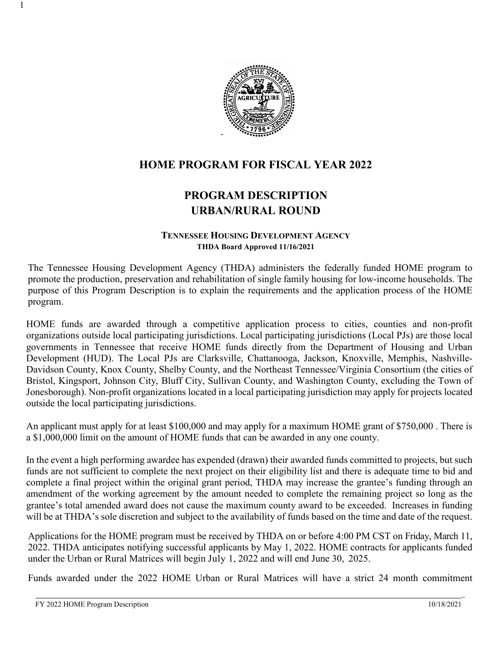

# **HOME PROGRAM FOR FISCAL YEAR 2022**

# **PROGRAM DESCRIPTION URBAN/RURAL ROUND**

#### **TENNESSEE HOUSING DEVELOPMENT AGENCY THDA Board Approved 11/16/2021**

The Tennessee Housing Development Agency (THDA) administers the federally funded HOME program to promote the production, preservation and rehabilitation of single family housing for low-income households. The purpose of this Program Description is to explain the requirements and the application process of the HOME program.

HOME funds are awarded through a competitive application process to cities, counties and non-profit organizations outside local participating jurisdictions. Local participating jurisdictions (Local PJs) are those local governments in Tennessee that receive HOME funds directly from the Department of Housing and Urban Development (HUD). The Local PJs are Clarksville, Chattanooga, Jackson, Knoxville, Memphis, Nashville-Davidson County, Knox County, Shelby County, and the Northeast Tennessee/Virginia Consortium (the cities of Bristol, Kingsport, Johnson City, Bluff City, Sullivan County, and Washington County, excluding the Town of Jonesborough). Non-profit organizations located in a local participating jurisdiction may apply for projects located outside the local participating jurisdictions.

An applicant must apply for at least \$100,000 and may apply for a maximum HOME grant of \$750,000 . There is a \$1,000,000 limit on the amount of HOME funds that can be awarded in any one county.

In the event a high performing awardee has expended (drawn) their awarded funds committed to projects, but such funds are not sufficient to complete the next project on their eligibility list and there is adequate time to bid and complete a final project within the original grant period, THDA may increase the grantee's funding through an amendment of the working agreement by the amount needed to complete the remaining project so long as the grantee's total amended award does not cause the maximum county award to be exceeded. Increases in funding will be at THDA's sole discretion and subject to the availability of funds based on the time and date of the request.

Applications for the HOME program must be received by THDA on or before 4:00 PM CST on Friday, March 11, 2022. THDA anticipates notifying successful applicants by May 1, 2022. HOME contracts for applicants funded under the Urban or Rural Matrices will begin July 1, 2022 and will end June 30, 2025.

Funds awarded under the 2022 HOME Urban or Rural Matrices will have a strict 24 month commitment

1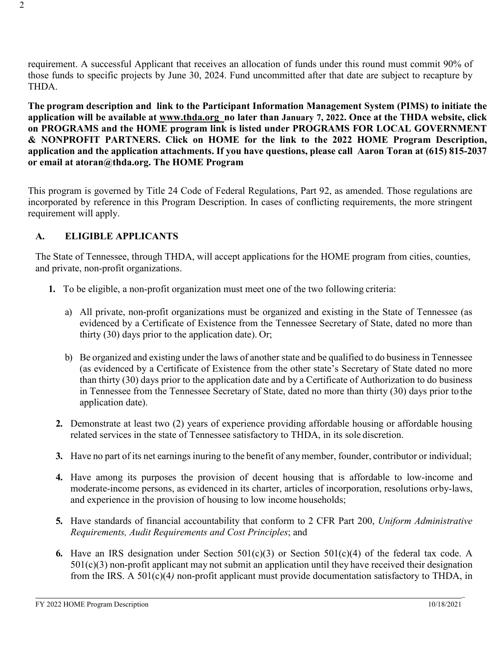requirement. A successful Applicant that receives an allocation of funds under this round must commit 90% of those funds to specific projects by June 30, 2024. Fund uncommitted after that date are subject to recapture by THDA.

**The program description and link to the Participant Information Management System (PIMS) to initiate the application will be available at [www.thda.org](http://www.thda.org/) no later than January 7, 2022. Once at the THDA website, click on PROGRAMS and the HOME program link is listed under PROGRAMS FOR LOCAL GOVERNMENT & NONPROFIT PARTNERS. Click on HOME for the link to the 2022 HOME Program Description, application and the application attachments. If you have questions, please call Aaron Toran at (615) 815-2037 or email at atoran@thda.org. The HOME Program**

This program is governed by Title 24 Code of Federal Regulations, Part 92, as amended. Those regulations are incorporated by reference in this Program Description. In cases of conflicting requirements, the more stringent requirement will apply.

## **A. ELIGIBLE APPLICANTS**

The State of Tennessee, through THDA, will accept applications for the HOME program from cities, counties, and private, non-profit organizations.

- **1.** To be eligible, a non-profit organization must meet one of the two following criteria:
	- a) All private, non-profit organizations must be organized and existing in the State of Tennessee (as evidenced by a Certificate of Existence from the Tennessee Secretary of State, dated no more than thirty (30) days prior to the application date). Or;
	- b) Be organized and existing under the laws of another state and be qualified to do business in Tennessee (as evidenced by a Certificate of Existence from the other state's Secretary of State dated no more than thirty (30) days prior to the application date and by a Certificate of Authorization to do business in Tennessee from the Tennessee Secretary of State, dated no more than thirty (30) days prior to the application date).
	- **2.** Demonstrate at least two (2) years of experience providing affordable housing or affordable housing related services in the state of Tennessee satisfactory to THDA, in its sole discretion.
	- **3.** Have no part of its net earnings inuring to the benefit of anymember, founder, contributor or individual;
	- **4.** Have among its purposes the provision of decent housing that is affordable to low-income and moderate-income persons, as evidenced in its charter, articles of incorporation, resolutions orby-laws, and experience in the provision of housing to low income households;
	- **5.** Have standards of financial accountability that conform to 2 CFR Part 200, *Uniform Administrative Requirements, Audit Requirements and Cost Principles*; and
	- **6.** Have an IRS designation under Section 501(c)(3) or Section 501(c)(4) of the federal tax code. A 501(c)(3) non-profit applicant may not submit an application until they have received their designation from the IRS. A 501(c)(4*)* non-profit applicant must provide documentation satisfactory to THDA, in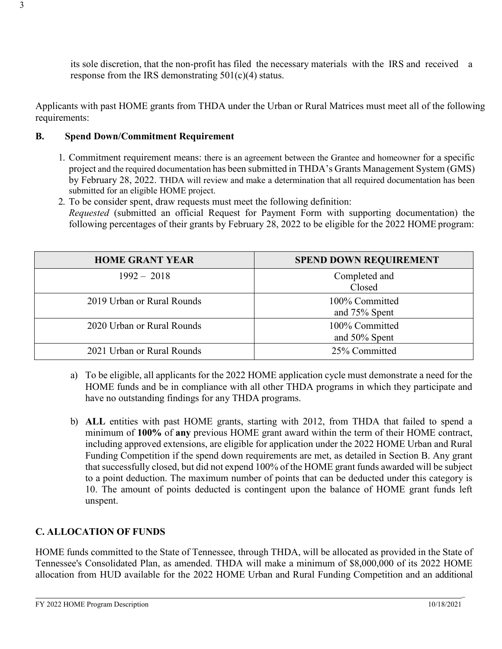its sole discretion, that the non-profit has filed the necessary materials with the IRS and received a response from the IRS demonstrating  $501(c)(4)$  status.

Applicants with past HOME grants from THDA under the Urban or Rural Matrices must meet all of the following requirements:

## **B. Spend Down/Commitment Requirement**

- 1. Commitment requirement means: there is an agreement between the Grantee and homeowner for a specific project and the required documentation has been submitted in THDA's Grants Management System (GMS) by February 28, 2022. THDA will review and make a determination that all required documentation has been submitted for an eligible HOME project.
- 2. To be consider spent, draw requests must meet the following definition: *Requested* (submitted an official Request for Payment Form with supporting documentation) the following percentages of their grants by February 28, 2022 to be eligible for the 2022 HOME program:

| <b>HOME GRANT YEAR</b>     | <b>SPEND DOWN REQUIREMENT</b>      |
|----------------------------|------------------------------------|
| $1992 - 2018$              | Completed and<br>Closed            |
| 2019 Urban or Rural Rounds | 100% Committed<br>and 75% Spent    |
| 2020 Urban or Rural Rounds | 100% Committed<br>and $50\%$ Spent |
| 2021 Urban or Rural Rounds | 25% Committed                      |

- a) To be eligible, all applicants for the 2022 HOME application cycle must demonstrate a need for the HOME funds and be in compliance with all other THDA programs in which they participate and have no outstanding findings for any THDA programs.
- b) **ALL** entities with past HOME grants, starting with 2012, from THDA that failed to spend a minimum of **100%** of **any** previous HOME grant award within the term of their HOME contract, including approved extensions, are eligible for application under the 2022 HOME Urban and Rural Funding Competition if the spend down requirements are met, as detailed in Section B. Any grant that successfully closed, but did not expend 100% of the HOME grant funds awarded will be subject to a point deduction. The maximum number of points that can be deducted under this category is 10. The amount of points deducted is contingent upon the balance of HOME grant funds left unspent.

## **C. ALLOCATION OF FUNDS**

HOME funds committed to the State of Tennessee, through THDA, will be allocated as provided in the State of Tennessee's Consolidated Plan, as amended. THDA will make a minimum of \$8,000,000 of its 2022 HOME allocation from HUD available for the 2022 HOME Urban and Rural Funding Competition and an additional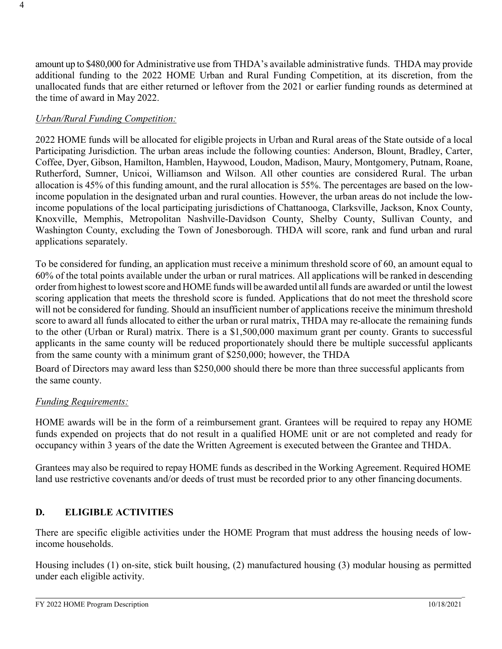amount up to \$480,000 for Administrative use from THDA's available administrative funds. THDA may provide additional funding to the 2022 HOME Urban and Rural Funding Competition, at its discretion, from the unallocated funds that are either returned or leftover from the 2021 or earlier funding rounds as determined at the time of award in May 2022.

## *Urban/Rural Funding Competition:*

2022 HOME funds will be allocated for eligible projects in Urban and Rural areas of the State outside of a local Participating Jurisdiction. The urban areas include the following counties: Anderson, Blount, Bradley, Carter, Coffee, Dyer, Gibson, Hamilton, Hamblen, Haywood, Loudon, Madison, Maury, Montgomery, Putnam, Roane, Rutherford, Sumner, Unicoi, Williamson and Wilson. All other counties are considered Rural. The urban allocation is 45% of this funding amount, and the rural allocation is 55%. The percentages are based on the lowincome population in the designated urban and rural counties. However, the urban areas do not include the lowincome populations of the local participating jurisdictions of Chattanooga, Clarksville, Jackson, Knox County, Knoxville, Memphis, Metropolitan Nashville-Davidson County, Shelby County, Sullivan County, and Washington County, excluding the Town of Jonesborough. THDA will score, rank and fund urban and rural applications separately.

To be considered for funding, an application must receive a minimum threshold score of 60, an amount equal to 60% of the total points available under the urban or rural matrices. All applications will be ranked in descending order from highest to lowest score and HOME funds will be awarded until all funds are awarded or until the lowest scoring application that meets the threshold score is funded. Applications that do not meet the threshold score will not be considered for funding. Should an insufficient number of applications receive the minimum threshold score to award all funds allocated to either the urban or rural matrix, THDA may re-allocate the remaining funds to the other (Urban or Rural) matrix. There is a \$1,500,000 maximum grant per county. Grants to successful applicants in the same county will be reduced proportionately should there be multiple successful applicants from the same county with a minimum grant of \$250,000; however, the THDA

Board of Directors may award less than \$250,000 should there be more than three successful applicants from the same county.

## *Funding Requirements:*

HOME awards will be in the form of a reimbursement grant. Grantees will be required to repay any HOME funds expended on projects that do not result in a qualified HOME unit or are not completed and ready for occupancy within 3 years of the date the Written Agreement is executed between the Grantee and THDA.

Grantees may also be required to repay HOME funds as described in the Working Agreement. Required HOME land use restrictive covenants and/or deeds of trust must be recorded prior to any other financing documents.

## **D. ELIGIBLE ACTIVITIES**

There are specific eligible activities under the HOME Program that must address the housing needs of lowincome households.

Housing includes (1) on-site, stick built housing, (2) manufactured housing (3) modular housing as permitted under each eligible activity.

\_

4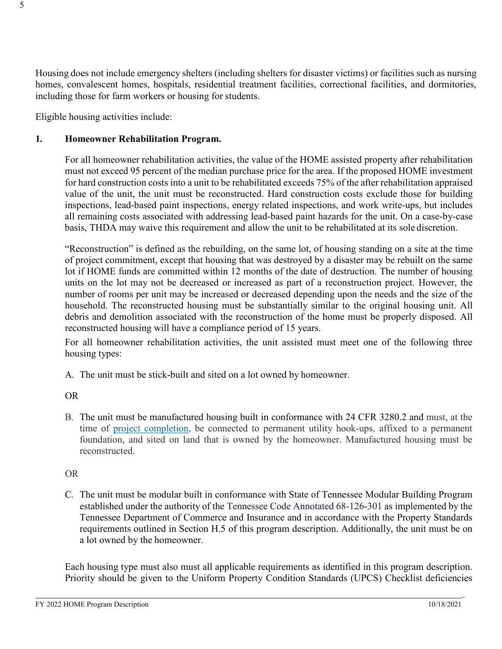Housing does not include emergency shelters (including shelters for disaster victims) or facilities such as nursing homes, convalescent homes, hospitals, residential treatment facilities, correctional facilities, and dormitories, including those for farm workers or housing for students.

Eligible housing activities include:

## **1. Homeowner Rehabilitation Program.**

For all homeowner rehabilitation activities, the value of the HOME assisted property after rehabilitation must not exceed 95 percent of the median purchase price for the area. If the proposed HOME investment for hard construction costs into a unit to be rehabilitated exceeds 75% of the after rehabilitation appraised value of the unit, the unit must be reconstructed. Hard construction costs exclude those for building inspections, lead-based paint inspections, energy related inspections, and work write-ups, but includes all remaining costs associated with addressing lead-based paint hazards for the unit. On a case-by-case basis, THDA may waive this requirement and allow the unit to be rehabilitated at its sole discretion.

"Reconstruction" is defined as the rebuilding, on the same lot, of housing standing on a site at the time of project commitment, except that housing that was destroyed by a disaster may be rebuilt on the same lot if HOME funds are committed within 12 months of the date of destruction. The number of housing units on the lot may not be decreased or increased as part of a reconstruction project. However, the number of rooms per unit may be increased or decreased depending upon the needs and the size of the household. The reconstructed housing must be substantially similar to the original housing unit. All debris and demolition associated with the reconstruction of the home must be properly disposed. All reconstructed housing will have a compliance period of 15 years.

For all homeowner rehabilitation activities, the unit assisted must meet one of the following three housing types:

A. The unit must be stick-built and sited on a lot owned by homeowner.

### OR

B. The unit must be manufactured housing built in conformance with 24 CFR 3280.2 and must, at the time of [project completion,](https://www.law.cornell.edu/definitions/index.php?width=840&amp%3Bheight=800&amp%3Biframe=true&amp%3Bdef_id=fbf41462206da5b5819d2c9be51a5d22&amp%3Bterm_occur=999&amp%3Bterm_src=Title%3A24%3ASubtitle%3AA%3APart%3A92%3ASubpart%3AE%3ASubjgrp%3A64%3A92.205) be connected to permanent utility hook-ups, affixed to a permanent foundation, and sited on land that is owned by the homeowner. Manufactured housing must be reconstructed.

## OR

C. The unit must be modular built in conformance with State of Tennessee Modular Building Program established under the authority of the Tennessee Code Annotated 68-126-301 as implemented by the Tennessee Department of Commerce and Insurance and in accordance with the Property Standards requirements outlined in Section H.5 of this program description. Additionally, the unit must be on a lot owned by the homeowner.

Each housing type must also must all applicable requirements as identified in this program description. Priority should be given to the Uniform Property Condition Standards (UPCS) Checklist deficiencies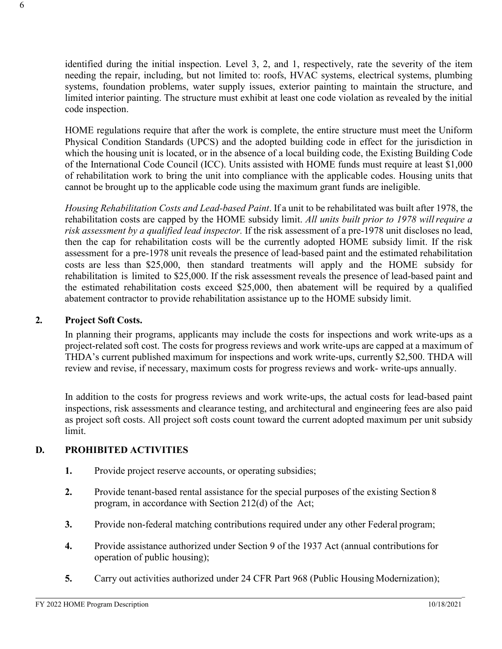identified during the initial inspection. Level 3, 2, and 1, respectively, rate the severity of the item needing the repair, including, but not limited to: roofs, HVAC systems, electrical systems, plumbing systems, foundation problems, water supply issues, exterior painting to maintain the structure, and limited interior painting. The structure must exhibit at least one code violation as revealed by the initial code inspection.

HOME regulations require that after the work is complete, the entire structure must meet the Uniform Physical Condition Standards (UPCS) and the adopted building code in effect for the jurisdiction in which the housing unit is located, or in the absence of a local building code, the Existing Building Code of the International Code Council (ICC). Units assisted with HOME funds must require at least \$1,000 of rehabilitation work to bring the unit into compliance with the applicable codes. Housing units that cannot be brought up to the applicable code using the maximum grant funds are ineligible.

*Housing Rehabilitation Costs and Lead-based Paint*. If a unit to be rehabilitated was built after 1978, the rehabilitation costs are capped by the HOME subsidy limit. *All units built prior to 1978 willrequire a risk assessment by a qualified lead inspector.* If the risk assessment of a pre-1978 unit discloses no lead, then the cap for rehabilitation costs will be the currently adopted HOME subsidy limit. If the risk assessment for a pre-1978 unit reveals the presence of lead-based paint and the estimated rehabilitation costs are less than \$25,000, then standard treatments will apply and the HOME subsidy for rehabilitation is limited to \$25,000. If the risk assessment reveals the presence of lead-based paint and the estimated rehabilitation costs exceed \$25,000, then abatement will be required by a qualified abatement contractor to provide rehabilitation assistance up to the HOME subsidy limit.

### **2. Project Soft Costs.**

In planning their programs, applicants may include the costs for inspections and work write-ups as a project-related soft cost. The costs for progress reviews and work write-ups are capped at a maximum of THDA's current published maximum for inspections and work write-ups, currently \$2,500. THDA will review and revise, if necessary, maximum costs for progress reviews and work- write-ups annually.

In addition to the costs for progress reviews and work write-ups, the actual costs for lead-based paint inspections, risk assessments and clearance testing, and architectural and engineering fees are also paid as project soft costs. All project soft costs count toward the current adopted maximum per unit subsidy limit.

### **D. PROHIBITED ACTIVITIES**

- **1.** Provide project reserve accounts, or operating subsidies;
- **2.** Provide tenant-based rental assistance for the special purposes of the existing Section 8 program, in accordance with Section 212(d) of the Act;
- **3.** Provide non-federal matching contributions required under any other Federal program;
- **4.** Provide assistance authorized under Section 9 of the 1937 Act (annual contributionsfor operation of public housing);
- **5.** Carry out activities authorized under 24 CFR Part 968 (Public Housing Modernization);

6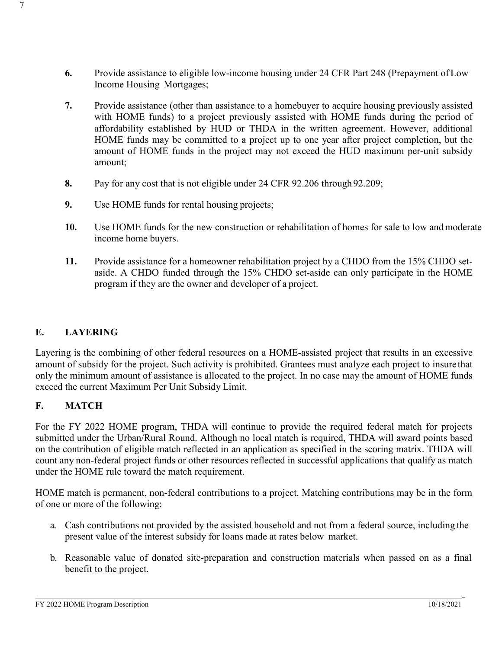- **6.** Provide assistance to eligible low-income housing under 24 CFR Part 248 (Prepayment of Low Income Housing Mortgages;
- **7.** Provide assistance (other than assistance to a homebuyer to acquire housing previously assisted with HOME funds) to a project previously assisted with HOME funds during the period of affordability established by HUD or THDA in the written agreement. However, additional HOME funds may be committed to a project up to one year after project completion, but the amount of HOME funds in the project may not exceed the HUD maximum per-unit subsidy amount;
- **8.** Pay for any cost that is not eligible under 24 CFR 92.206 through 92.209;
- **9.** Use HOME funds for rental housing projects;
- **10.** Use HOME funds for the new construction or rehabilitation of homes for sale to low andmoderate income home buyers.
- **11.** Provide assistance for a homeowner rehabilitation project by a CHDO from the 15% CHDO setaside. A CHDO funded through the 15% CHDO set-aside can only participate in the HOME program if they are the owner and developer of a project.

### **E. LAYERING**

7

Layering is the combining of other federal resources on a HOME-assisted project that results in an excessive amount of subsidy for the project. Such activity is prohibited. Grantees must analyze each project to insure that only the minimum amount of assistance is allocated to the project. In no case may the amount of HOME funds exceed the current Maximum Per Unit Subsidy Limit.

## **F. MATCH**

For the FY 2022 HOME program, THDA will continue to provide the required federal match for projects submitted under the Urban/Rural Round. Although no local match is required, THDA will award points based on the contribution of eligible match reflected in an application as specified in the scoring matrix. THDA will count any non-federal project funds or other resources reflected in successful applications that qualify as match under the HOME rule toward the match requirement.

HOME match is permanent, non-federal contributions to a project. Matching contributions may be in the form of one or more of the following:

- a. Cash contributions not provided by the assisted household and not from a federal source, including the present value of the interest subsidy for loans made at rates below market.
- b. Reasonable value of donated site-preparation and construction materials when passed on as a final benefit to the project.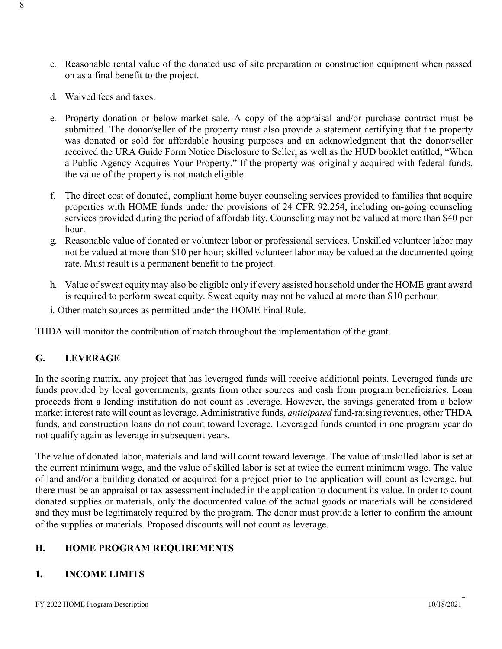- c. Reasonable rental value of the donated use of site preparation or construction equipment when passed on as a final benefit to the project.
- d. Waived fees and taxes.
- e. Property donation or below-market sale. A copy of the appraisal and/or purchase contract must be submitted. The donor/seller of the property must also provide a statement certifying that the property was donated or sold for affordable housing purposes and an acknowledgment that the donor/seller received the URA Guide Form Notice Disclosure to Seller, as well as the HUD booklet entitled, "When a Public Agency Acquires Your Property." If the property was originally acquired with federal funds, the value of the property is not match eligible.
- f. The direct cost of donated, compliant home buyer counseling services provided to families that acquire properties with HOME funds under the provisions of 24 CFR 92.254, including on-going counseling services provided during the period of affordability. Counseling may not be valued at more than \$40 per hour.
- g. Reasonable value of donated or volunteer labor or professional services. Unskilled volunteer labor may not be valued at more than \$10 per hour; skilled volunteer labor may be valued at the documented going rate. Must result is a permanent benefit to the project.
- h. Value of sweat equity may also be eligible only if every assisted household under the HOME grant award is required to perform sweat equity. Sweat equity may not be valued at more than \$10 per hour.
- i. Other match sources as permitted under the HOME Final Rule.

THDA will monitor the contribution of match throughout the implementation of the grant.

## **G. LEVERAGE**

In the scoring matrix, any project that has leveraged funds will receive additional points. Leveraged funds are funds provided by local governments, grants from other sources and cash from program beneficiaries. Loan proceeds from a lending institution do not count as leverage. However, the savings generated from a below market interest rate will count asleverage. Administrative funds, *anticipated* fund-raising revenues, other THDA funds, and construction loans do not count toward leverage. Leveraged funds counted in one program year do not qualify again as leverage in subsequent years.

The value of donated labor, materials and land will count toward leverage. The value of unskilled labor is set at the current minimum wage, and the value of skilled labor is set at twice the current minimum wage. The value of land and/or a building donated or acquired for a project prior to the application will count as leverage, but there must be an appraisal or tax assessment included in the application to document its value. In order to count donated supplies or materials, only the documented value of the actual goods or materials will be considered and they must be legitimately required by the program. The donor must provide a letter to confirm the amount of the supplies or materials. Proposed discounts will not count as leverage.

## **H. HOME PROGRAM REQUIREMENTS**

## **1. INCOME LIMITS**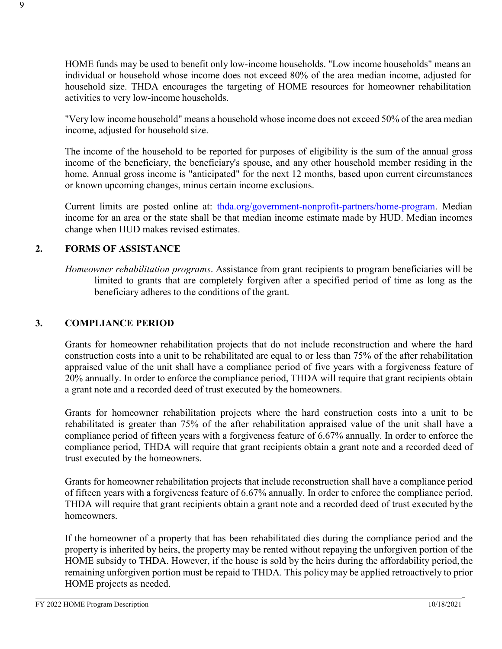HOME funds may be used to benefit only low-income households. "Low income households" means an individual or household whose income does not exceed 80% of the area median income, adjusted for household size. THDA encourages the targeting of HOME resources for homeowner rehabilitation activities to very low-income households.

"Very low income household" means a household whose income does not exceed 50% of the area median income, adjusted for household size.

The income of the household to be reported for purposes of eligibility is the sum of the annual gross income of the beneficiary, the beneficiary's spouse, and any other household member residing in the home. Annual gross income is "anticipated" for the next 12 months, based upon current circumstances or known upcoming changes, minus certain income exclusions.

Current limits are posted online at: [thda.org/government-nonprofit-partners/home-program.](https://thda.org/business-partners/home) Median income for an area or the state shall be that median income estimate made by HUD. Median incomes change when HUD makes revised estimates.

### **2. FORMS OF ASSISTANCE**

*Homeowner rehabilitation programs*. Assistance from grant recipients to program beneficiaries will be limited to grants that are completely forgiven after a specified period of time as long as the beneficiary adheres to the conditions of the grant.

#### **3. COMPLIANCE PERIOD**

Grants for homeowner rehabilitation projects that do not include reconstruction and where the hard construction costs into a unit to be rehabilitated are equal to or less than 75% of the after rehabilitation appraised value of the unit shall have a compliance period of five years with a forgiveness feature of 20% annually. In order to enforce the compliance period, THDA will require that grant recipients obtain a grant note and a recorded deed of trust executed by the homeowners.

Grants for homeowner rehabilitation projects where the hard construction costs into a unit to be rehabilitated is greater than 75% of the after rehabilitation appraised value of the unit shall have a compliance period of fifteen years with a forgiveness feature of 6.67% annually. In order to enforce the compliance period, THDA will require that grant recipients obtain a grant note and a recorded deed of trust executed by the homeowners.

Grants for homeowner rehabilitation projects that include reconstruction shall have a compliance period of fifteen years with a forgiveness feature of 6.67% annually. In order to enforce the compliance period, THDA will require that grant recipients obtain a grant note and a recorded deed of trust executed bythe homeowners.

If the homeowner of a property that has been rehabilitated dies during the compliance period and the property is inherited by heirs, the property may be rented without repaying the unforgiven portion of the HOME subsidy to THDA. However, if the house is sold by the heirs during the affordability period, the remaining unforgiven portion must be repaid to THDA. This policy may be applied retroactively to prior HOME projects as needed.

\_

9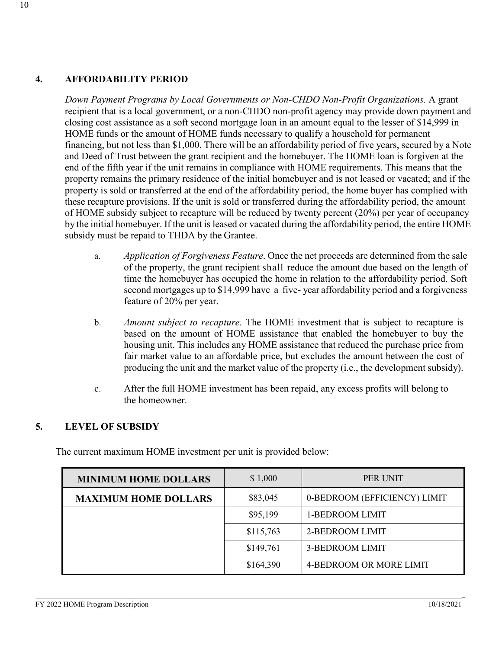## **4. AFFORDABILITY PERIOD**

*Down Payment Programs by Local Governments or Non-CHDO Non-Profit Organizations.* A grant recipient that is a local government, or a non-CHDO non-profit agency may provide down payment and closing cost assistance as a soft second mortgage loan in an amount equal to the lesser of \$14,999 in HOME funds or the amount of HOME funds necessary to qualify a household for permanent financing, but not less than \$1,000. There will be an affordability period of five years, secured by a Note and Deed of Trust between the grant recipient and the homebuyer. The HOME loan is forgiven at the end of the fifth year if the unit remains in compliance with HOME requirements. This means that the property remains the primary residence of the initial homebuyer and is not leased or vacated; and if the property is sold or transferred at the end of the affordability period, the home buyer has complied with these recapture provisions. If the unit is sold or transferred during the affordability period, the amount of HOME subsidy subject to recapture will be reduced by twenty percent (20%) per year of occupancy by the initial homebuyer. If the unit is leased or vacated during the affordability period, the entire HOME subsidy must be repaid to THDA by the Grantee.

- a. *Application of Forgiveness Feature*. Once the net proceeds are determined from the sale of the property, the grant recipient shall reduce the amount due based on the length of time the homebuyer has occupied the home in relation to the affordability period. Soft second mortgages up to \$14,999 have a five- year affordability period and a forgiveness feature of 20% per year.
- b. *Amount subject to recapture.* The HOME investment that is subject to recapture is based on the amount of HOME assistance that enabled the homebuyer to buy the housing unit. This includes any HOME assistance that reduced the purchase price from fair market value to an affordable price, but excludes the amount between the cost of producing the unit and the market value of the property (i.e., the development subsidy).
- c. After the full HOME investment has been repaid, any excess profits will belong to the homeowner.

### **5. LEVEL OF SUBSIDY**

The current maximum HOME investment per unit is provided below:

| <b>MINIMUM HOME DOLLARS</b> | \$1,000   | PER UNIT                     |
|-----------------------------|-----------|------------------------------|
| <b>MAXIMUM HOME DOLLARS</b> | \$83,045  | 0-BEDROOM (EFFICIENCY) LIMIT |
|                             | \$95,199  | 1-BEDROOM LIMIT              |
|                             | \$115,763 | 2-BEDROOM LIMIT              |
|                             | \$149,761 | <b>3-BEDROOM LIMIT</b>       |
|                             | \$164,390 | 4-BEDROOM OR MORE LIMIT      |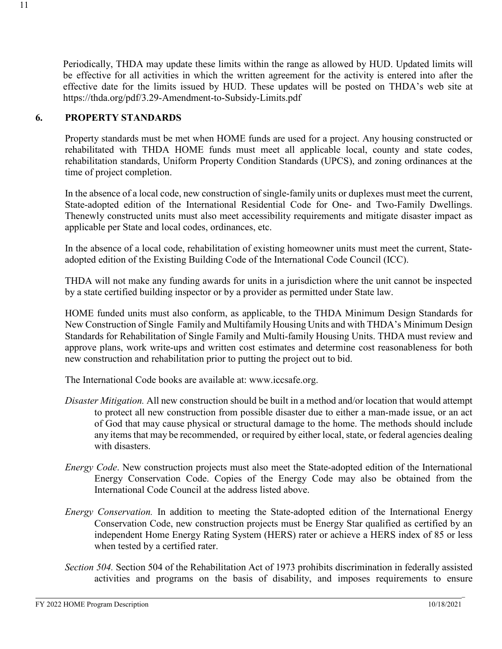Periodically, THDA may update these limits within the range as allowed by HUD. Updated limits will be effective for all activities in which the written agreement for the activity is entered into after the effective date for the limits issued by HUD. These updates will be posted on THDA's web site [at](http://www.thda.org/) https://thda.org/pdf/3.29-Amendment-to-Subsidy-Limits.pdf

## **6. PROPERTY STANDARDS**

Property standards must be met when HOME funds are used for a project. Any housing constructed or rehabilitated with THDA HOME funds must meet all applicable local, county and state codes, rehabilitation standards, Uniform Property Condition Standards (UPCS), and zoning ordinances at the time of project completion.

In the absence of a local code, new construction of single-family units or duplexes must meet the current, State-adopted edition of the International Residential Code for One- and Two-Family Dwellings. Thenewly constructed units must also meet accessibility requirements and mitigate disaster impact as applicable per State and local codes, ordinances, etc.

In the absence of a local code, rehabilitation of existing homeowner units must meet the current, Stateadopted edition of the Existing Building Code of the International Code Council (ICC).

THDA will not make any funding awards for units in a jurisdiction where the unit cannot be inspected by a state certified building inspector or by a provider as permitted under State law.

HOME funded units must also conform, as applicable, to the THDA Minimum Design Standards for New Construction of Single Family and Multifamily Housing Units and with THDA's Minimum Design Standards for Rehabilitation of Single Family and Multi-family Housing Units. THDA must review and approve plans, work write-ups and written cost estimates and determine cost reasonableness for both new construction and rehabilitation prior to putting the project out to bid.

The International Code books are available at: [www.iccsafe.org.](http://www.iccsafe.org/)

- *Disaster Mitigation.* All new construction should be built in a method and/or location that would attempt to protect all new construction from possible disaster due to either a man-made issue, or an act of God that may cause physical or structural damage to the home. The methods should include any items that may be recommended, or required by either local, state, or federal agencies dealing with disasters.
- *Energy Code*. New construction projects must also meet the State-adopted edition of the International Energy Conservation Code. Copies of the Energy Code may also be obtained from the International Code Council at the address listed above.
- *Energy Conservation.* In addition to meeting the State-adopted edition of the International Energy Conservation Code, new construction projects must be Energy Star qualified as certified by an independent Home Energy Rating System (HERS) rater or achieve a HERS index of 85 or less when tested by a certified rater.
- *Section 504.* Section 504 of the Rehabilitation Act of 1973 prohibits discrimination in federally assisted activities and programs on the basis of disability, and imposes requirements to ensure

\_

11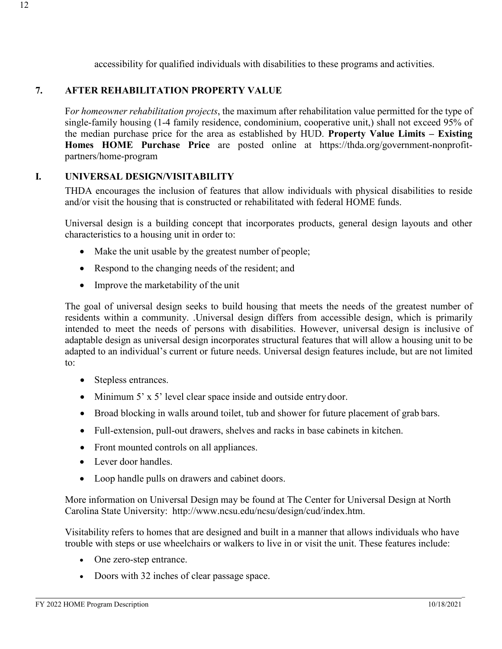accessibility for qualified individuals with disabilities to these programs and activities.

## **7. AFTER REHABILITATION PROPERTY VALUE**

F*or homeowner rehabilitation projects*, the maximum after rehabilitation value permitted for the type of single-family housing (1-4 family residence, condominium, cooperative unit,) shall not exceed 95% of the median purchase price for the area as established by HUD. **Property Value Limits – Existing Homes HOME Purchase Price** are posted online at https://thda.org/government-nonprofitpartners/home-program

### **I. UNIVERSAL DESIGN/VISITABILITY**

THDA encourages the inclusion of features that allow individuals with physical disabilities to reside and/or visit the housing that is constructed or rehabilitated with federal HOME funds.

Universal design is a building concept that incorporates products, general design layouts and other characteristics to a housing unit in order to:

- Make the unit usable by the greatest number of people;
- Respond to the changing needs of the resident; and
- Improve the marketability of the unit

The goal of universal design seeks to build housing that meets the needs of the greatest number of residents within a community. .Universal design differs from accessible design, which is primarily intended to meet the needs of persons with disabilities. However, universal design is inclusive of adaptable design as universal design incorporates structural features that will allow a housing unit to be adapted to an individual's current or future needs. Universal design features include, but are not limited to:

- Stepless entrances.
- Minimum 5' x 5' level clear space inside and outside entry door.
- Broad blocking in walls around toilet, tub and shower for future placement of grab bars.
- Full-extension, pull-out drawers, shelves and racks in base cabinets in kitchen.
- Front mounted controls on all appliances.
- Lever door handles.
- Loop handle pulls on drawers and cabinet doors.

More information on Universal Design may be found at The Center for Universal Design at North Carolina State University: [http://www.ncsu.edu/ncsu/design/cud/index.htm.](http://www.ncsu.edu/ncsu/design/cud/index.htm)

Visitability refers to homes that are designed and built in a manner that allows individuals who have trouble with steps or use wheelchairs or walkers to live in or visit the unit. These features include:

- One zero-step entrance.
- Doors with 32 inches of clear passage space.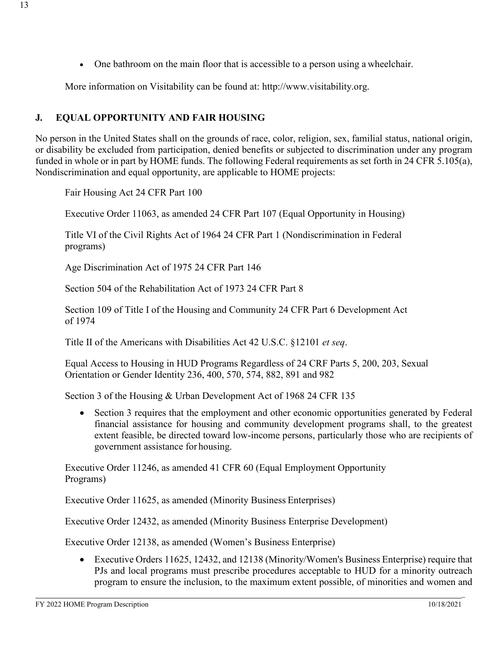• One bathroom on the main floor that is accessible to a person using a wheelchair.

More information on Visitability can be found at: [http://www.visitability.org.](http://www.visitability.org/)

## **J. EQUAL OPPORTUNITY AND FAIR HOUSING**

No person in the United States shall on the grounds of race, color, religion, sex, familial status, national origin, or disability be excluded from participation, denied benefits or subjected to discrimination under any program funded in whole or in part by HOME funds. The following Federal requirements as set forth in 24 CFR 5.105(a), Nondiscrimination and equal opportunity, are applicable to HOME projects:

Fair Housing Act 24 CFR Part 100

Executive Order 11063, as amended 24 CFR Part 107 (Equal Opportunity in Housing)

Title VI of the Civil Rights Act of 1964 24 CFR Part 1 (Nondiscrimination in Federal programs)

Age Discrimination Act of 1975 24 CFR Part 146

Section 504 of the Rehabilitation Act of 1973 24 CFR Part 8

Section 109 of Title I of the Housing and Community 24 CFR Part 6 Development Act of 1974

Title II of the Americans with Disabilities Act 42 U.S.C. §12101 *et seq*.

Equal Access to Housing in HUD Programs Regardless of 24 CRF Parts 5, 200, 203, Sexual Orientation or Gender Identity 236, 400, 570, 574, 882, 891 and 982

Section 3 of the Housing & Urban Development Act of 1968 24 CFR 135

• Section 3 requires that the employment and other economic opportunities generated by Federal financial assistance for housing and community development programs shall, to the greatest extent feasible, be directed toward low-income persons, particularly those who are recipients of government assistance for housing.

Executive Order 11246, as amended 41 CFR 60 (Equal Employment Opportunity Programs)

Executive Order 11625, as amended (Minority Business Enterprises)

Executive Order 12432, as amended (Minority Business Enterprise Development)

Executive Order 12138, as amended (Women's Business Enterprise)

• Executive Orders 11625, 12432, and 12138 (Minority/Women's Business Enterprise) require that PJs and local programs must prescribe procedures acceptable to HUD for a minority outreach program to ensure the inclusion, to the maximum extent possible, of minorities and women and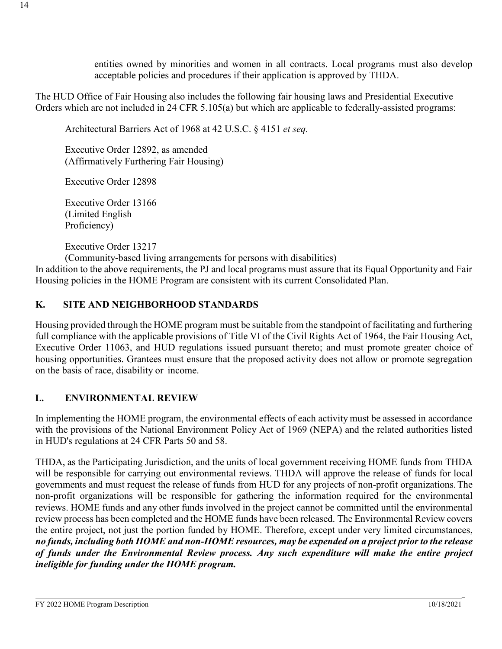entities owned by minorities and women in all contracts. Local programs must also develop acceptable policies and procedures if their application is approved by THDA.

The HUD Office of Fair Housing also includes the following fair housing laws and Presidential Executive Orders which are not included in 24 CFR 5.105(a) but which are applicable to federally-assisted programs:

Architectural Barriers Act of 1968 at 42 U.S.C. § 4151 *et seq.*

Executive Order 12892, as amended (Affirmatively Furthering Fair Housing)

Executive Order 12898

Executive Order 13166 (Limited English Proficiency)

Executive Order 13217

(Community-based living arrangements for persons with disabilities)

In addition to the above requirements, the PJ and local programs must assure that its Equal Opportunity and Fair Housing policies in the HOME Program are consistent with its current Consolidated Plan.

## **K. SITE AND NEIGHBORHOOD STANDARDS**

Housing provided through the HOME program must be suitable from the standpoint of facilitating and furthering full compliance with the applicable provisions of Title VI of the Civil Rights Act of 1964, the Fair Housing Act, Executive Order 11063, and HUD regulations issued pursuant thereto; and must promote greater choice of housing opportunities. Grantees must ensure that the proposed activity does not allow or promote segregation on the basis of race, disability or income.

## **L. ENVIRONMENTAL REVIEW**

In implementing the HOME program, the environmental effects of each activity must be assessed in accordance with the provisions of the National Environment Policy Act of 1969 (NEPA) and the related authorities listed in HUD's regulations at 24 CFR Parts 50 and 58.

THDA, as the Participating Jurisdiction, and the units of local government receiving HOME funds from THDA will be responsible for carrying out environmental reviews. THDA will approve the release of funds for local governments and must request the release of funds from HUD for any projects of non-profit organizations.The non-profit organizations will be responsible for gathering the information required for the environmental reviews. HOME funds and any other funds involved in the project cannot be committed until the environmental review process has been completed and the HOME funds have been released. The Environmental Review covers the entire project, not just the portion funded by HOME. Therefore, except under very limited circumstances, no funds, including both HOME and non-HOME resources, may be expended on a project prior to the release *of funds under the Environmental Review process. Any such expenditure will make the entire project ineligible for funding under the HOME program.*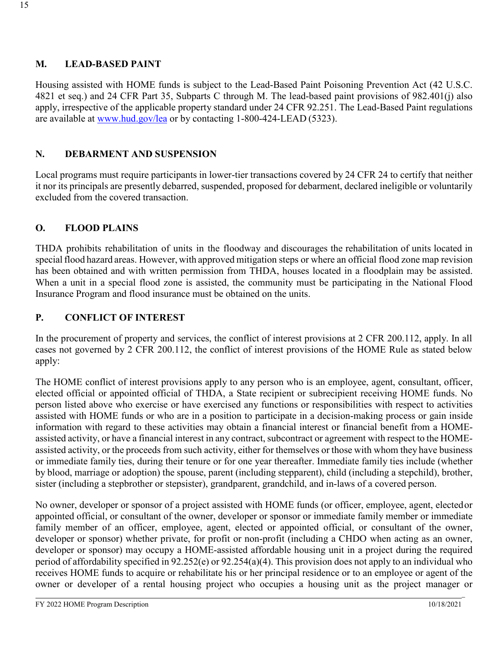### **M. LEAD-BASED PAINT**

Housing assisted with HOME funds is subject to the Lead-Based Paint Poisoning Prevention Act (42 U.S.C. 4821 et seq.) and 24 CFR Part 35, Subparts C through M. The lead-based paint provisions of 982.401(j) also apply, irrespective of the applicable property standard under 24 CFR 92.251. The Lead-Based Paint regulations are available at [www.hud.gov/lea](http://www.hud.gov/lea) or by contacting 1-800-424-LEAD (5323).

## **N. DEBARMENT AND SUSPENSION**

Local programs must require participants in lower-tier transactions covered by 24 CFR 24 to certify that neither it nor its principals are presently debarred, suspended, proposed for debarment, declared ineligible or voluntarily excluded from the covered transaction.

## **O. FLOOD PLAINS**

THDA prohibits rehabilitation of units in the floodway and discourages the rehabilitation of units located in special flood hazard areas. However, with approved mitigation steps or where an official flood zone map revision has been obtained and with written permission from THDA, houses located in a floodplain may be assisted. When a unit in a special flood zone is assisted, the community must be participating in the National Flood Insurance Program and flood insurance must be obtained on the units.

## **P. CONFLICT OF INTEREST**

In the procurement of property and services, the conflict of interest provisions at 2 CFR 200.112, apply. In all cases not governed by 2 CFR 200.112, the conflict of interest provisions of the HOME Rule as stated below apply:

The HOME conflict of interest provisions apply to any person who is an employee, agent, consultant, officer, elected official or appointed official of THDA, a State recipient or subrecipient receiving HOME funds. No person listed above who exercise or have exercised any functions or responsibilities with respect to activities assisted with HOME funds or who are in a position to participate in a decision-making process or gain inside information with regard to these activities may obtain a financial interest or financial benefit from a HOMEassisted activity, or have a financial interest in any contract, subcontract or agreement with respect to the HOMEassisted activity, or the proceeds from such activity, either for themselves or those with whom they have business or immediate family ties, during their tenure or for one year thereafter. Immediate family ties include (whether by blood, marriage or adoption) the spouse, parent (including stepparent), child (including a stepchild), brother, sister (including a stepbrother or stepsister), grandparent, grandchild, and in-laws of a covered person.

No owner, developer or sponsor of a project assisted with HOME funds (or officer, employee, agent, electedor appointed official, or consultant of the owner, developer or sponsor or immediate family member or immediate family member of an officer, employee, agent, elected or appointed official, or consultant of the owner, developer or sponsor) whether private, for profit or non-profit (including a CHDO when acting as an owner, developer or sponsor) may occupy a HOME-assisted affordable housing unit in a project during the required period of affordability specified in 92.252(e) or 92.254(a)(4). This provision does not apply to an individual who receives HOME funds to acquire or rehabilitate his or her principal residence or to an employee or agent of the owner or developer of a rental housing project who occupies a housing unit as the project manager or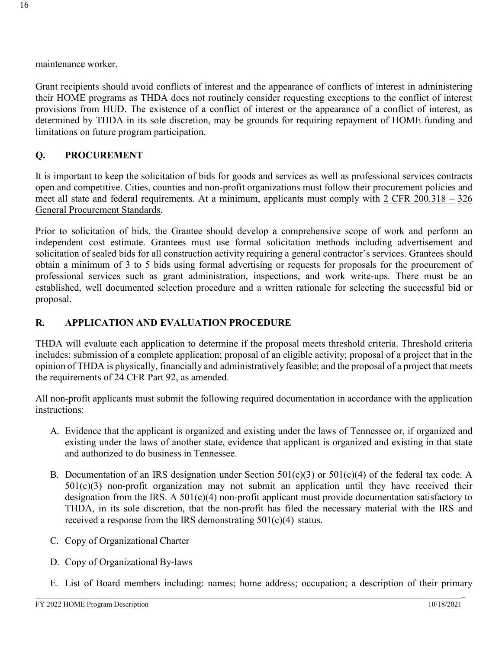Grant recipients should avoid conflicts of interest and the appearance of conflicts of interest in administering their HOME programs as THDA does not routinely consider requesting exceptions to the conflict of interest provisions from HUD. The existence of a conflict of interest or the appearance of a conflict of interest, as determined by THDA in its sole discretion, may be grounds for requiring repayment of HOME funding and limitations on future program participation.

## **Q. PROCUREMENT**

It is important to keep the solicitation of bids for goods and services as well as professional services contracts open and competitive. Cities, counties and non-profit organizations must follow their procurement policies and meet all state and federal requirements. At a minimum, applicants must comply with 2 CFR 200.318 – 326 General Procurement Standards.

Prior to solicitation of bids, the Grantee should develop a comprehensive scope of work and perform an independent cost estimate. Grantees must use formal solicitation methods including advertisement and solicitation of sealed bids for all construction activity requiring a general contractor's services. Grantees should obtain a minimum of 3 to 5 bids using formal advertising or requests for proposals for the procurement of professional services such as grant administration, inspections, and work write-ups. There must be an established, well documented selection procedure and a written rationale for selecting the successful bid or proposal.

## **R. APPLICATION AND EVALUATION PROCEDURE**

THDA will evaluate each application to determine if the proposal meets threshold criteria. Threshold criteria includes: submission of a complete application; proposal of an eligible activity; proposal of a project that in the opinion of THDA is physically, financially and administratively feasible; and the proposal of a project that meets the requirements of 24 CFR Part 92, as amended.

All non-profit applicants must submit the following required documentation in accordance with the application instructions:

- A. Evidence that the applicant is organized and existing under the laws of Tennessee or, if organized and existing under the laws of another state, evidence that applicant is organized and existing in that state and authorized to do business in Tennessee.
- B. Documentation of an IRS designation under Section  $501(c)(3)$  or  $501(c)(4)$  of the federal tax code. A  $501(c)(3)$  non-profit organization may not submit an application until they have received their designation from the IRS. A  $501(c)(4)$  non-profit applicant must provide documentation satisfactory to THDA, in its sole discretion, that the non-profit has filed the necessary material with the IRS and received a response from the IRS demonstrating 501(c)(4) status.
- C. Copy of Organizational Charter
- D. Copy of Organizational By-laws
- E. List of Board members including: names; home address; occupation; a description of their primary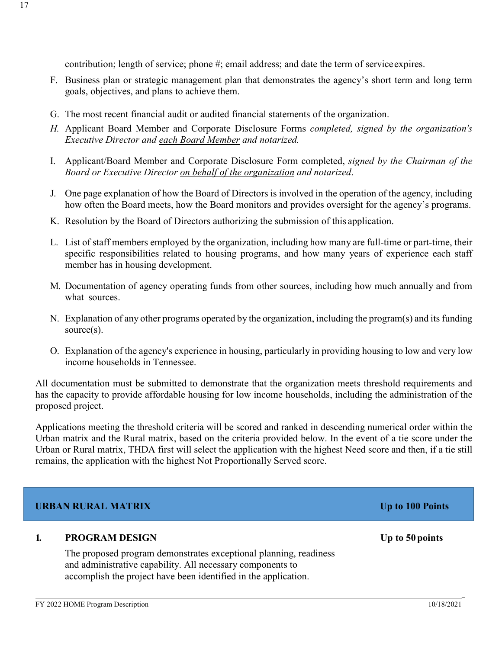contribution; length of service; phone #; email address; and date the term of service expires.

- F. Business plan or strategic management plan that demonstrates the agency's short term and long term goals, objectives, and plans to achieve them.
- G. The most recent financial audit or audited financial statements of the organization.
- *H.* Applicant Board Member and Corporate Disclosure Forms *completed, signed by the organization's Executive Director and each Board Member and notarized.*
- I. Applicant/Board Member and Corporate Disclosure Form completed, *signed by the Chairman of the Board or Executive Director on behalf of the organization and notarized*.
- J. One page explanation of how the Board of Directors is involved in the operation of the agency, including how often the Board meets, how the Board monitors and provides oversight for the agency's programs.
- K. Resolution by the Board of Directors authorizing the submission of this application.
- L. List of staff members employed by the organization, including how many are full-time or part-time, their specific responsibilities related to housing programs, and how many years of experience each staff member has in housing development.
- M. Documentation of agency operating funds from other sources, including how much annually and from what sources.
- N. Explanation of any other programs operated by the organization, including the program(s) and its funding source(s).
- O. Explanation of the agency's experience in housing, particularly in providing housing to low and very low income households in Tennessee.

All documentation must be submitted to demonstrate that the organization meets threshold requirements and has the capacity to provide affordable housing for low income households, including the administration of the proposed project.

Applications meeting the threshold criteria will be scored and ranked in descending numerical order within the Urban matrix and the Rural matrix, based on the criteria provided below. In the event of a tie score under the Urban or Rural matrix, THDA first will select the application with the highest Need score and then, if a tie still remains, the application with the highest Not Proportionally Served score.

# **URBAN RURAL MATRIX Up to 100 Points**

## **1. PROGRAM DESIGN Up to 50 points**

The proposed program demonstrates exceptional planning, readiness and administrative capability. All necessary components to accomplish the project have been identified in the application.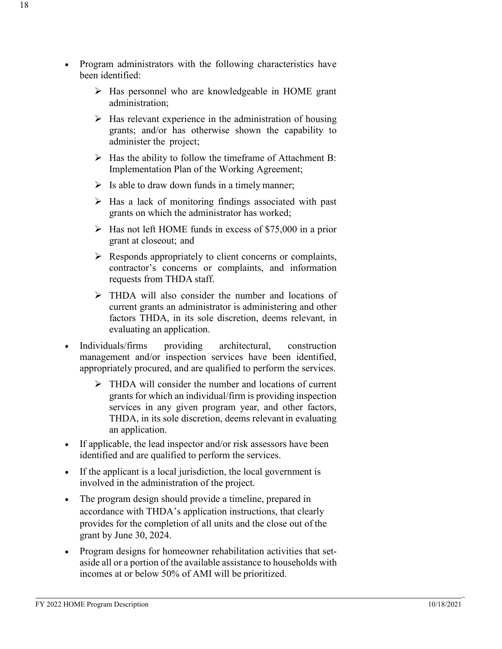- Program administrators with the following characteristics have been identified:
	- $\triangleright$  Has personnel who are knowledgeable in HOME grant administration;
	- $\triangleright$  Has relevant experience in the administration of housing grants; and/or has otherwise shown the capability to administer the project;
	- $\triangleright$  Has the ability to follow the timeframe of Attachment B: Implementation Plan of the Working Agreement;
	- $\triangleright$  Is able to draw down funds in a timely manner;
	- $\triangleright$  Has a lack of monitoring findings associated with past grants on which the administrator has worked;
	- $\triangleright$  Has not left HOME funds in excess of \$75,000 in a prior grant at closeout; and
	- $\triangleright$  Responds appropriately to client concerns or complaints, contractor's concerns or complaints, and information requests from THDA staff.
	- THDA will also consider the number and locations of current grants an administrator is administering and other factors THDA, in its sole discretion, deems relevant, in evaluating an application.
- Individuals/firms providing architectural, construction management and/or inspection services have been identified, appropriately procured, and are qualified to perform the services.
	- > THDA will consider the number and locations of current grants for which an individual/firm is providing inspection services in any given program year, and other factors, THDA, in its sole discretion, deems relevant in evaluating an application.
- If applicable, the lead inspector and/or risk assessors have been identified and are qualified to perform the services.
- If the applicant is a local jurisdiction, the local government is involved in the administration of the project.
- The program design should provide a timeline, prepared in accordance with THDA's application instructions, that clearly provides for the completion of all units and the close out of the grant by June 30, 2024.
- Program designs for homeowner rehabilitation activities that setaside all or a portion of the available assistance to households with incomes at or below 50% of AMI will be prioritized.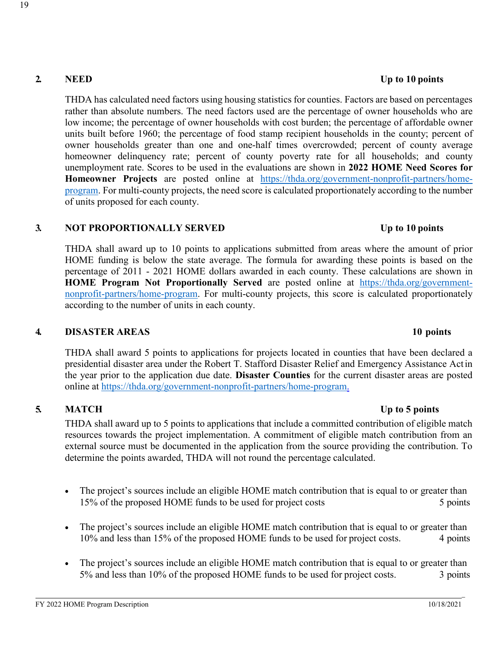THDA has calculated need factors using housing statistics for counties. Factors are based on percentages rather than absolute numbers. The need factors used are the percentage of owner households who are low income; the percentage of owner households with cost burden; the percentage of affordable owner units built before 1960; the percentage of food stamp recipient households in the county; percent of owner households greater than one and one-half times overcrowded; percent of county average homeowner delinquency rate; percent of county poverty rate for all households; and county unemployment rate. Scores to be used in the evaluations are shown in **2022 HOME Need Scores for Homeowner Projects** are posted online at [https://thda.org/government-nonprofit-partners/home](https://thda.org/government-nonprofit-partners/home-program)[program.](https://thda.org/government-nonprofit-partners/home-program) For multi-county projects, the need score is calculated proportionately according to the number of units proposed for each county.

## **3. NOT PROPORTIONALLY SERVED Up to 10 points**

THDA shall award up to 10 points to applications submitted from areas where the amount of prior HOME funding is below the state average. The formula for awarding these points is based on the percentage of 2011 - 2021 HOME dollars awarded in each county. These calculations are shown in **HOME Program Not Proportionally Served** are posted online at [https://thda.org/government](https://thda.org/government-nonprofit-partners/home-program)[nonprofit-partners/home-program.](https://thda.org/government-nonprofit-partners/home-program) For multi-county projects, this score is calculated proportionately according to the number of units in each county.

### **4. DISASTER AREAS 10 points**

THDA shall award 5 points to applications for projects located in counties that have been declared a presidential disaster area under the Robert T. Stafford Disaster Relief and Emergency Assistance Actin the year prior to the application due date. **Disaster Counties** for the current disaster areas are posted online at [https://thda.org/government-nonprofit-partners/home-program.](https://thda.org/government-nonprofit-partners/home-program)

# **5. MATCH Up to 5 points**

THDA shall award up to 5 points to applications that include a committed contribution of eligible match resources towards the project implementation. A commitment of eligible match contribution from an external source must be documented in the application from the source providing the contribution. To determine the points awarded, THDA will not round the percentage calculated.

- The project's sources include an eligible HOME match contribution that is equal to or greater than 15% of the proposed HOME funds to be used for project costs 5 points 5 points
- The project's sources include an eligible HOME match contribution that is equal to or greater than 10% and less than 15% of the proposed HOME funds to be used for project costs. 4 points
- The project's sources include an eligible HOME match contribution that is equal to or greater than 5% and less than 10% of the proposed HOME funds to be used for project costs. 3 points

\_

#### **2. NEED Up to 10 points**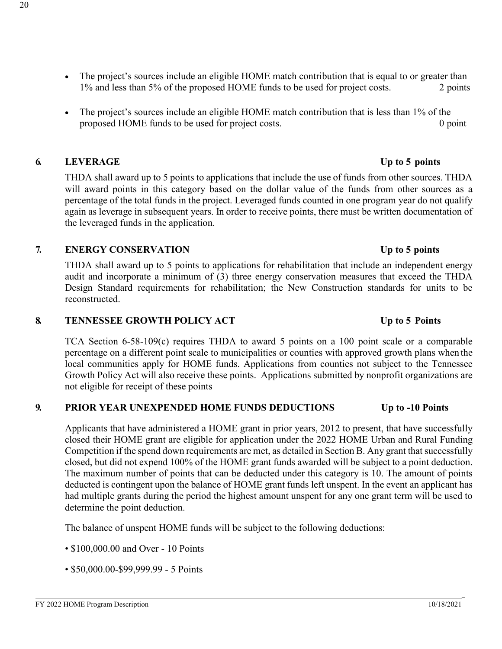- The project's sources include an eligible HOME match contribution that is equal to or greater than 1% and less than 5% of the proposed HOME funds to be used for project costs. 2 points
- The project's sources include an eligible HOME match contribution that is less than 1% of the proposed HOME funds to be used for project costs. 0 point

## **6. LEVERAGE Up to 5 points**

THDA shall award up to 5 points to applications that include the use of funds from other sources. THDA will award points in this category based on the dollar value of the funds from other sources as a percentage of the total funds in the project. Leveraged funds counted in one program year do not qualify again as leverage in subsequent years. In order to receive points, there must be written documentation of the leveraged funds in the application.

## **7. ENERGY CONSERVATION Up to 5 points**

THDA shall award up to 5 points to applications for rehabilitation that include an independent energy audit and incorporate a minimum of (3) three energy conservation measures that exceed the THDA Design Standard requirements for rehabilitation; the New Construction standards for units to be reconstructed.

#### **8. TENNESSEE GROWTH POLICY ACT Up to 5 Points**

TCA Section 6-58-109(c) requires THDA to award 5 points on a 100 point scale or a comparable percentage on a different point scale to municipalities or counties with approved growth plans when the local communities apply for HOME funds. Applications from counties not subject to the Tennessee Growth Policy Act will also receive these points. Applications submitted by nonprofit organizations are not eligible for receipt of these points

## **9. PRIOR YEAR UNEXPENDED HOME FUNDS DEDUCTIONS Up to -10 Points**

Applicants that have administered a HOME grant in prior years, 2012 to present, that have successfully closed their HOME grant are eligible for application under the 2022 HOME Urban and Rural Funding Competition if the spend down requirements are met, as detailed in Section B. Any grant that successfully closed, but did not expend 100% of the HOME grant funds awarded will be subject to a point deduction. The maximum number of points that can be deducted under this category is 10. The amount of points deducted is contingent upon the balance of HOME grant funds left unspent. In the event an applicant has had multiple grants during the period the highest amount unspent for any one grant term will be used to determine the point deduction.

The balance of unspent HOME funds will be subject to the following deductions:

- \$100,000.00 and Over 10 Points
- \$50,000.00-\$99,999.99 5 Points